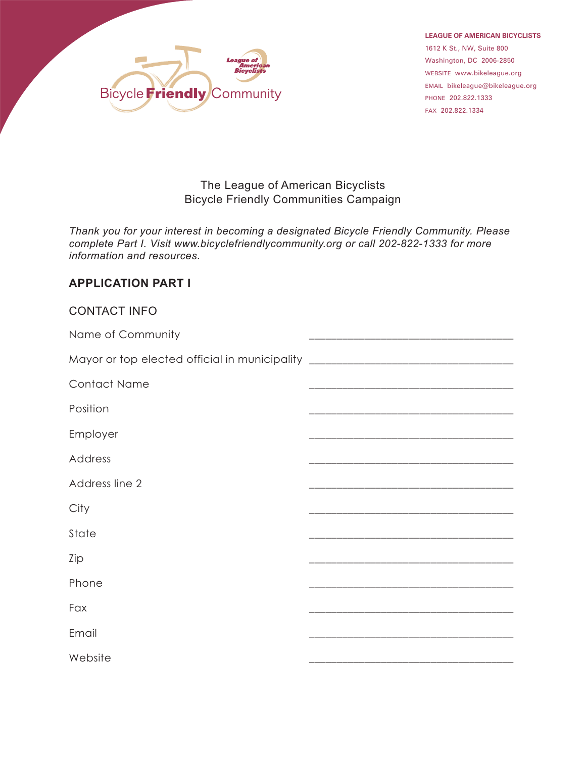

**LEAGUE OF AMERICAN BICYCLISTS** 1612 K St., NW, Suite 800<br>Washington, DC 2006-2850 washington, 2006-2006-2006<br>website www.hamptongar.org EMAIL bikeleague@bikeleague.org

## The League of American Bicyclists Bicycle Friendly Communities Campaign

*Thank you for your interest in becoming a designated Bicycle Friendly Community. Please complete Part I. Visit www.bicyclefriendlycommunity.org or call 202-822-1333 for more information and resources.*

## **APPLICATION PART I**

| <b>CONTACT INFO</b>                                                              |  |
|----------------------------------------------------------------------------------|--|
| Name of Community                                                                |  |
| Mayor or top elected official in municipality __________________________________ |  |
| <b>Contact Name</b>                                                              |  |
| Position                                                                         |  |
| Employer                                                                         |  |
| Address                                                                          |  |
| Address line 2                                                                   |  |
| City                                                                             |  |
| State                                                                            |  |
| Zip                                                                              |  |
| Phone                                                                            |  |
| Fax                                                                              |  |
| Email                                                                            |  |
| Website                                                                          |  |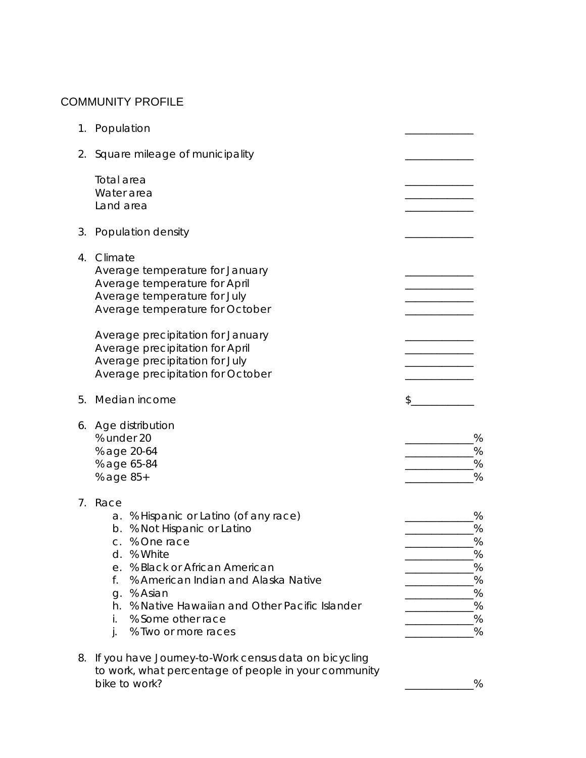# COMMUNITY PROFILE

| 1. | Population                                                                                                                                                                                                                                                                                                                               |                                                         |
|----|------------------------------------------------------------------------------------------------------------------------------------------------------------------------------------------------------------------------------------------------------------------------------------------------------------------------------------------|---------------------------------------------------------|
| 2. | Square mileage of municipality                                                                                                                                                                                                                                                                                                           |                                                         |
|    | Total area<br>Water area<br>Land area                                                                                                                                                                                                                                                                                                    |                                                         |
| 3. | Population density                                                                                                                                                                                                                                                                                                                       |                                                         |
| 4. | Climate<br>Average temperature for January<br>Average temperature for April<br>Average temperature for July<br>Average temperature for October<br>Average precipitation for January<br>Average precipitation for April<br>Average precipitation for July<br>Average precipitation for October                                            |                                                         |
| 5. | Median income                                                                                                                                                                                                                                                                                                                            | \$                                                      |
| 6. | Age distribution<br>% under 20<br>% age 20-64<br>% age 65-84<br>% age 85+                                                                                                                                                                                                                                                                | %<br>%<br>%<br>%                                        |
| 7. | Race<br>% Hispanic or Latino (of any race)<br>a.<br>% Not Hispanic or Latino<br>b.<br>% One race<br>C.<br>% White<br>d.<br>% Black or African American<br>е.<br>% American Indian and Alaska Native<br>f.<br>% Asian<br>g.<br>% Native Hawaiian and Other Pacific Islander<br>h.<br>% Some other race<br>İ.<br>% Two or more races<br>j. | %<br>%<br>%<br>%<br>$\%$<br>$\%$<br>%<br>%<br>$\%$<br>% |
| 8. | If you have Journey-to-Work census data on bicycling<br>to work, what percentage of people in your community<br>bike to work?                                                                                                                                                                                                            | %                                                       |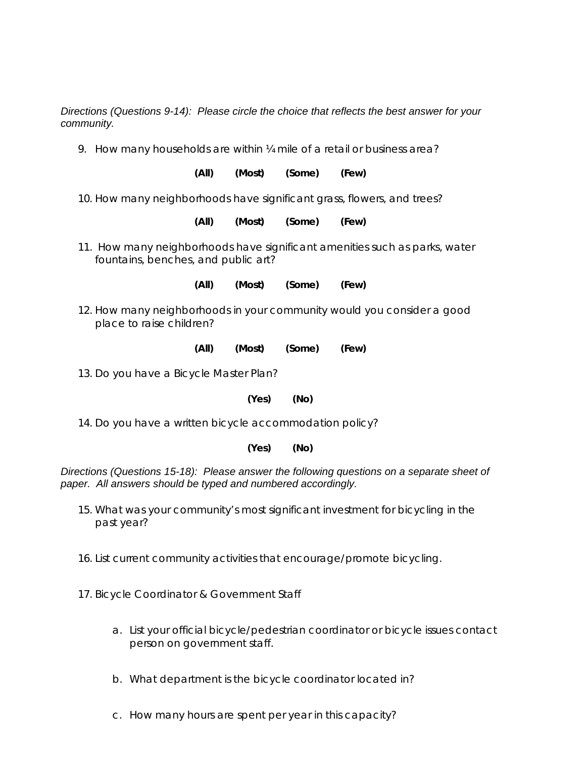*Directions (Questions 9-14): Please circle the choice that reflects the best answer for your community.*

9. How many households are within ¼ mile of a retail or business area?

**(All) (Most) (Some) (Few)**

10. How many neighborhoods have significant grass, flowers, and trees?

**(All) (Most) (Some) (Few)**

11. How many neighborhoods have significant amenities such as parks, water fountains, benches, and public art?

**(All) (Most) (Some) (Few)**

- 12. How many neighborhoods in your community would you consider a good place to raise children?
	- **(All) (Most) (Some) (Few)**

13. Do you have a Bicycle Master Plan?

**(Yes) (No)**

14. Do you have a written bicycle accommodation policy?

## **(Yes) (No)**

*Directions (Questions 15-18): Please answer the following questions on a separate sheet of paper. All answers should be typed and numbered accordingly.*

- 15. What was your community's most significant investment for bicycling in the past year?
- 16. List current community activities that encourage/promote bicycling.
- 17. Bicycle Coordinator & Government Staff
	- a. List your official bicycle/pedestrian coordinator or bicycle issues contact person on government staff.
	- b. What department is the bicycle coordinator located in?
	- c. How many hours are spent per year in this capacity?